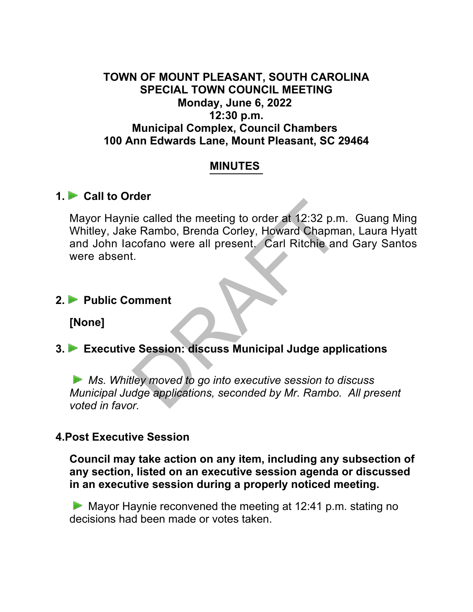## **TOWN OF MOUNT PLEASANT, SOUTH CAROLINA SPECIAL TOWN COUNCIL MEETING Monday, June 6, 2022 12:30 p.m. Municipal Complex, Council Chambers 100 Ann Edwards Lane, Mount Pleasant, SC 29464**

## **MINUTES**

## **1. Call to Order**

Mayor Haynie called the meeting to order at 12:32 p.m. Guang Ming Whitley, Jake Rambo, Brenda Corley, Howard Chapman, Laura Hyatt and John Iacofano were all present. Carl Ritchie and Gary Santos were absent. ie called the meeting to order at 12:32 p.m<br>
e Rambo, Brenda Corley, Howard Chapma<br>
cofano were all present. Carl Ritchie an<br>
t.<br>
DRAFT CARRIER SESSION: discuss Municipal Judge app<br>
ley moved to go into executive session t

#### **2. Public Comment**

**[None]**

# **3. Executive Session: discuss Municipal Judge applications**

*Ms. Whitley moved to go into executive session to discuss Municipal Judge applications, seconded by Mr. Rambo. All present voted in favor.*

# **4.Post Executive Session**

**Council may take action on any item, including any subsection of any section, listed on an executive session agenda or discussed in an executive session during a properly noticed meeting.**

 $\blacktriangleright$  Mayor Haynie reconvened the meeting at 12:41 p.m. stating no decisions had been made or votes taken.